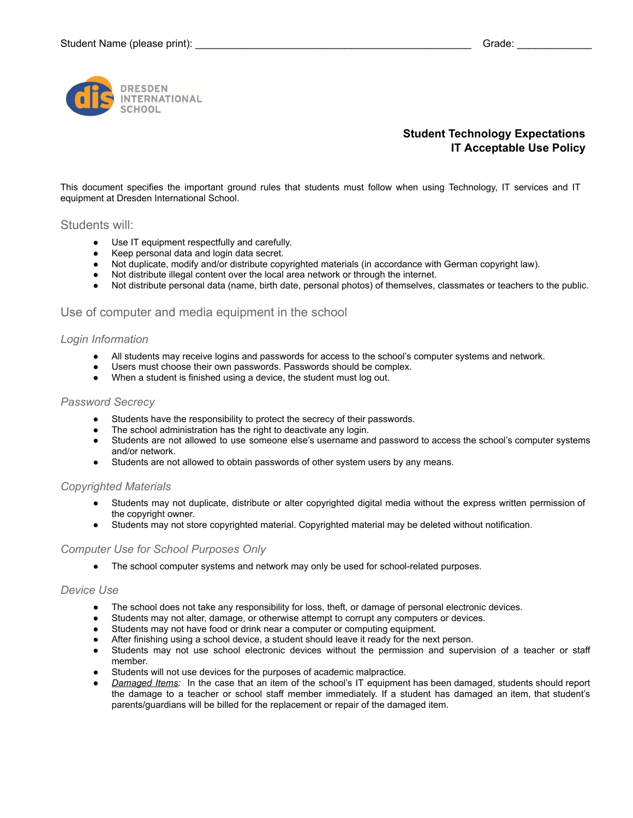

# **Student Technology Expectations IT Acceptable Use Policy**

This document specifies the important ground rules that students must follow when using Technology, IT services and IT equipment at Dresden International School.

# Students will:

- Use IT equipment respectfully and carefully.
- Keep personal data and login data secret.
- Not duplicate, modify and/or distribute copyrighted materials (in accordance with German copyright law).
- Not distribute illegal content over the local area network or through the internet.
- Not distribute personal data (name, birth date, personal photos) of themselves, classmates or teachers to the public.

# Use of computer and media equipment in the school

### *Login Information*

- All students may receive logins and passwords for access to the school's computer systems and network.
- Users must choose their own passwords. Passwords should be complex.
- When a student is finished using a device, the student must log out.

### *Password Secrecy*

- Students have the responsibility to protect the secrecy of their passwords.
- The school administration has the right to deactivate any login.
- Students are not allowed to use someone else's username and password to access the school's computer systems and/or network.
- Students are not allowed to obtain passwords of other system users by any means.

### *Copyrighted Materials*

- Students may not duplicate, distribute or alter copyrighted digital media without the express written permission of the copyright owner.
- Students may not store copyrighted material. Copyrighted material may be deleted without notification.

### *Computer Use for School Purposes Only*

• The school computer systems and network may only be used for school-related purposes.

### *Device Use*

- The school does not take any responsibility for loss, theft, or damage of personal electronic devices.
- Students may not alter, damage, or otherwise attempt to corrupt any computers or devices.
- Students may not have food or drink near a computer or computing equipment.
- After finishing using a school device, a student should leave it ready for the next person.
- Students may not use school electronic devices without the permission and supervision of a teacher or staff member.
- Students will not use devices for the purposes of academic malpractice.
- Damaged Items: In the case that an item of the school's IT equipment has been damaged, students should report the damage to a teacher or school staff member immediately. If a student has damaged an item, that student's parents/guardians will be billed for the replacement or repair of the damaged item.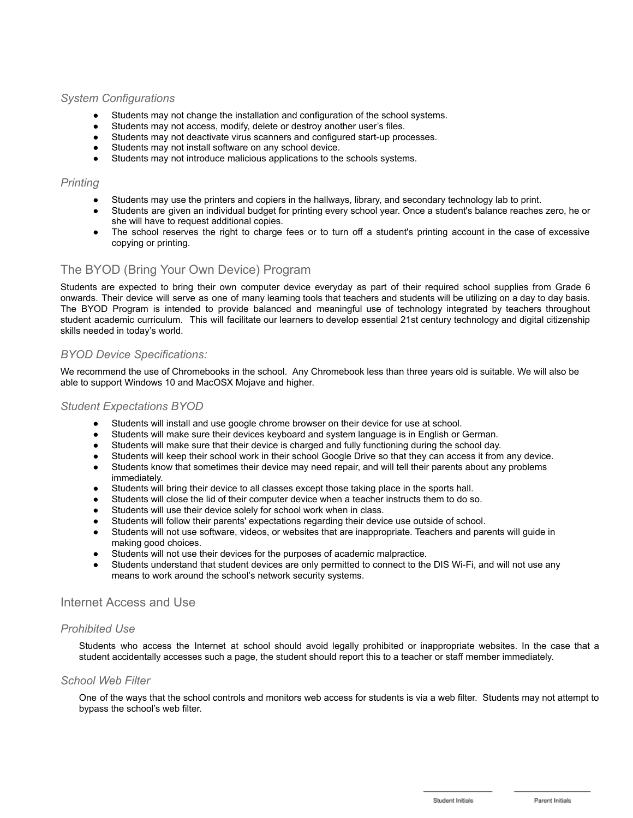# *System Configurations*

- Students may not change the installation and configuration of the school systems.
- Students may not access, modify, delete or destroy another user's files.
- Students may not deactivate virus scanners and configured start-up processes.
- Students may not install software on any school device.
- Students may not introduce malicious applications to the schools systems.

## *Printing*

- Students may use the printers and copiers in the hallways, library, and secondary technology lab to print.
- Students are given an individual budget for printing every school year. Once a student's balance reaches zero, he or she will have to request additional copies.
- The school reserves the right to charge fees or to turn off a student's printing account in the case of excessive copying or printing.

# The BYOD (Bring Your Own Device) Program

Students are expected to bring their own computer device everyday as part of their required school supplies from Grade 6 onwards. Their device will serve as one of many learning tools that teachers and students will be utilizing on a day to day basis. The BYOD Program is intended to provide balanced and meaningful use of technology integrated by teachers throughout student academic curriculum. This will facilitate our learners to develop essential 21st century technology and digital citizenship skills needed in today's world.

# *BYOD Device Specifications:*

We recommend the use of Chromebooks in the school. Any Chromebook less than three years old is suitable. We will also be able to support Windows 10 and MacOSX Mojave and higher.

## *Student Expectations BYOD*

- Students will install and use google chrome browser on their device for use at school.
- Students will make sure their devices keyboard and system language is in English or German.
- Students will make sure that their device is charged and fully functioning during the school day.
- Students will keep their school work in their school Google Drive so that they can access it from any device.
- Students know that sometimes their device may need repair, and will tell their parents about any problems immediately.
- Students will bring their device to all classes except those taking place in the sports hall.
- Students will close the lid of their computer device when a teacher instructs them to do so.
- Students will use their device solely for school work when in class.
- Students will follow their parents' expectations regarding their device use outside of school.
- Students will not use software, videos, or websites that are inappropriate. Teachers and parents will guide in making good choices.
- Students will not use their devices for the purposes of academic malpractice.
- Students understand that student devices are only permitted to connect to the DIS Wi-Fi, and will not use any means to work around the school's network security systems.

# Internet Access and Use

# *Prohibited Use*

Students who access the Internet at school should avoid legally prohibited or inappropriate websites. In the case that a student accidentally accesses such a page, the student should report this to a teacher or staff member immediately.

## *School Web Filter*

One of the ways that the school controls and monitors web access for students is via a web filter. Students may not attempt to bypass the school's web filter.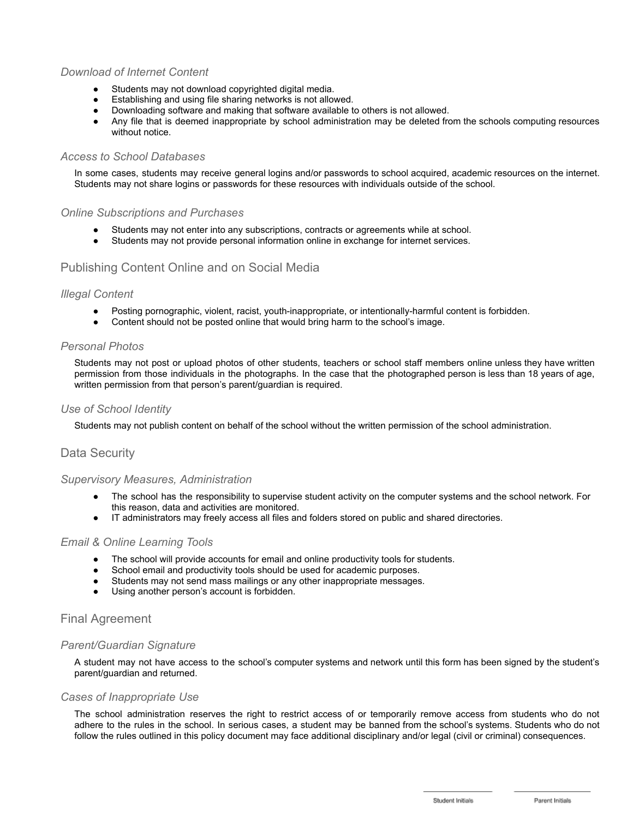# *Download of Internet Content*

- Students may not download copyrighted digital media.
- Establishing and using file sharing networks is not allowed.
- Downloading software and making that software available to others is not allowed.
- Any file that is deemed inappropriate by school administration may be deleted from the schools computing resources without notice.

## *Access to School Databases*

In some cases, students may receive general logins and/or passwords to school acquired, academic resources on the internet. Students may not share logins or passwords for these resources with individuals outside of the school.

## *Online Subscriptions and Purchases*

- Students may not enter into any subscriptions, contracts or agreements while at school.
- Students may not provide personal information online in exchange for internet services.

# Publishing Content Online and on Social Media

### *Illegal Content*

- Posting pornographic, violent, racist, youth-inappropriate, or intentionally-harmful content is forbidden.
- Content should not be posted online that would bring harm to the school's image.

## *Personal Photos*

Students may not post or upload photos of other students, teachers or school staff members online unless they have written permission from those individuals in the photographs. In the case that the photographed person is less than 18 years of age, written permission from that person's parent/guardian is required.

## *Use of School Identity*

Students may not publish content on behalf of the school without the written permission of the school administration.

# Data Security

### *Supervisory Measures, Administration*

- The school has the responsibility to supervise student activity on the computer systems and the school network. For this reason, data and activities are monitored.
- IT administrators may freely access all files and folders stored on public and shared directories.

# *Email & Online Learning Tools*

- The school will provide accounts for email and online productivity tools for students.
- School email and productivity tools should be used for academic purposes.
- Students may not send mass mailings or any other inappropriate messages.
- Using another person's account is forbidden.

# Final Agreement

### *Parent/Guardian Signature*

A student may not have access to the school's computer systems and network until this form has been signed by the student's parent/guardian and returned.

### *Cases of Inappropriate Use*

The school administration reserves the right to restrict access of or temporarily remove access from students who do not adhere to the rules in the school. In serious cases, a student may be banned from the school's systems. Students who do not follow the rules outlined in this policy document may face additional disciplinary and/or legal (civil or criminal) consequences.